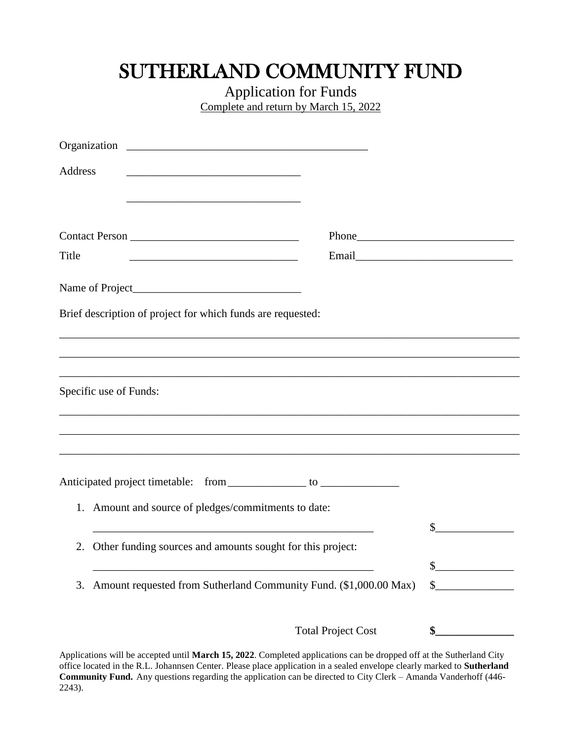## SUTHERLAND COMMUNITY FUND

Application for Funds Complete and return by March 15, 2022

| Address |                                                                                                                        |                           |                                |
|---------|------------------------------------------------------------------------------------------------------------------------|---------------------------|--------------------------------|
| Title   | <u> 1989 - Johann Barn, mars ann an t-Amhair an t-Amhair ann an t-Amhair an t-Amhair an t-Amhair an t-Amhair an t-</u> |                           |                                |
|         |                                                                                                                        |                           |                                |
|         | Brief description of project for which funds are requested:                                                            |                           |                                |
|         |                                                                                                                        |                           |                                |
|         | Specific use of Funds:<br>,我们也不能在这里的人,我们也不能在这里的人,我们也不能在这里的人,我们也不能在这里的人,我们也不能在这里的人,我们也不能在这里的人,我们也不能在这里的人,我们也            |                           |                                |
|         |                                                                                                                        |                           |                                |
|         |                                                                                                                        |                           |                                |
| 1.      | Amount and source of pledges/commitments to date:                                                                      |                           | \$                             |
| 2.      | Other funding sources and amounts sought for this project:                                                             |                           |                                |
| 3.      | Amount requested from Sutherland Community Fund. (\$1,000.00 Max)                                                      |                           | $\frac{1}{2}$<br>$\frac{1}{2}$ |
|         |                                                                                                                        | <b>Total Project Cost</b> | \$                             |

Applications will be accepted until **March 15, 2022**. Completed applications can be dropped off at the Sutherland City office located in the R.L. Johannsen Center. Please place application in a sealed envelope clearly marked to **Sutherland Community Fund.** Any questions regarding the application can be directed to City Clerk – Amanda Vanderhoff (446- 2243).